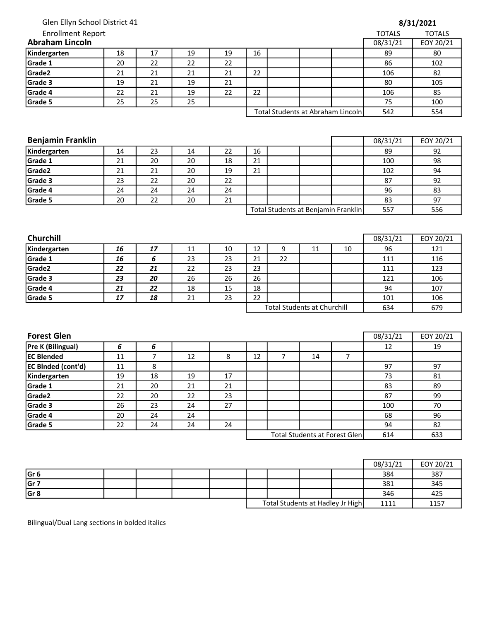| Glen Ellyn School District 41<br>Enrollment Report |  |  |  |
|----------------------------------------------------|--|--|--|
| raham Lincoln                                      |  |  |  |

|  | 8/31/2021 |
|--|-----------|
|--|-----------|

| <b>Enrollment Report</b> |    |    |    |    |    |  |                                   | <b>TOTALS</b> | <b>TOTALS</b> |
|--------------------------|----|----|----|----|----|--|-----------------------------------|---------------|---------------|
| <b>Abraham Lincoln</b>   |    |    |    |    |    |  |                                   | 08/31/21      | EOY 20/21     |
| Kindergarten             | 18 | 17 | 19 | 19 | 16 |  |                                   | 89            | 80            |
| Grade 1                  | 20 | 22 | 22 | 22 |    |  |                                   | 86            | 102           |
| Grade <sub>2</sub>       | 21 | 21 | 21 | 21 | 22 |  |                                   | 106           | 82            |
| Grade 3                  | 19 | 21 | 19 | 21 |    |  |                                   | 80            | 105           |
| Grade 4                  | 22 | 21 | 19 | 22 | 22 |  |                                   | 106           | 85            |
| Grade 5                  | 25 | 25 | 25 |    |    |  |                                   | 75            | 100           |
|                          |    |    |    |    |    |  | Total Students at Abraham Lincoln | 542           | 554           |

| Total Students at Abraham Lincoln |  |
|-----------------------------------|--|
|-----------------------------------|--|

| 16 | 85  |
|----|-----|
| 5  | 100 |
| 12 | 554 |

| <b>Benjamin Franklin</b> |    |    |    |    |                                     |  |  |  | 08/31/21 | EOY 20/21 |
|--------------------------|----|----|----|----|-------------------------------------|--|--|--|----------|-----------|
| Kindergarten             | 14 | 23 | 14 | 22 | 16                                  |  |  |  | 89       | 92        |
| Grade 1                  | 21 | 20 | 20 | 18 | 21                                  |  |  |  | 100      | 98        |
| Grade <sub>2</sub>       | 21 | 21 | 20 | 19 | 21                                  |  |  |  | 102      | 94        |
| Grade 3                  | 23 | 22 | 20 | 22 |                                     |  |  |  | 87       | 92        |
| Grade 4                  | 24 | 24 | 24 | 24 |                                     |  |  |  | 96       | 83        |
| Grade 5                  | 20 | 22 | 20 | 21 |                                     |  |  |  | 83       | 97        |
|                          |    |    |    |    | Total Students at Benjamin Franklin |  |  |  | 557      | 556       |

| <b>Churchill</b>   |    |    |    |    |                                    |    |    |    | 08/31/21 | EOY 20/21 |
|--------------------|----|----|----|----|------------------------------------|----|----|----|----------|-----------|
| Kindergarten       | 16 | 17 | 11 | 10 | 12                                 |    | 11 | 10 | 96       | 121       |
| Grade 1            | 16 |    | 23 | 23 | 21                                 | 22 |    |    | 111      | 116       |
| Grade <sub>2</sub> | 22 | 21 | 22 | 23 | 23                                 |    |    |    | 111      | 123       |
| Grade 3            | 23 | 20 | 26 | 26 | 26                                 |    |    |    | 121      | 106       |
| Grade 4            | 21 | 22 | 18 | 15 | 18                                 |    |    |    | 94       | 107       |
| Grade 5            | 17 | 18 | 21 | 23 | 22                                 |    |    |    | 101      | 106       |
|                    |    |    |    |    | <b>Total Students at Churchill</b> |    |    |    | 634      | 679       |

| <b>Forest Glen</b>        |    |    |    |    |    |    |                               | 08/31/21 | EOY 20/21 |
|---------------------------|----|----|----|----|----|----|-------------------------------|----------|-----------|
| <b>Pre K (Bilingual)</b>  | 6  | 6  |    |    |    |    |                               | 12       | 19        |
| <b>EC Blended</b>         | 11 |    | 12 | 8  | 12 | 14 |                               |          |           |
| <b>EC BInded (cont'd)</b> | 11 | 8  |    |    |    |    |                               | 97       | 97        |
| Kindergarten              | 19 | 18 | 19 | 17 |    |    |                               | 73       | 81        |
| Grade 1                   | 21 | 20 | 21 | 21 |    |    |                               | 83       | 89        |
| Grade <sub>2</sub>        | 22 | 20 | 22 | 23 |    |    |                               | 87       | 99        |
| Grade 3                   | 26 | 23 | 24 | 27 |    |    |                               | 100      | 70        |
| Grade 4                   | 20 | 24 | 24 |    |    |    |                               | 68       | 96        |
| Grade 5                   | 22 | 24 | 24 | 24 |    |    |                               | 94       | 82        |
|                           |    |    |    |    |    |    | Total Students at Forest Glen | 614      | 633       |

|                 |  |  |  |                                  | 08/31/21 | EOY 20/21 |
|-----------------|--|--|--|----------------------------------|----------|-----------|
| Gr <sub>6</sub> |  |  |  |                                  | 384      | 387       |
| Gr 7            |  |  |  |                                  | 381      | 345       |
| Gr 8            |  |  |  |                                  | 346      | 425       |
|                 |  |  |  | Total Students at Hadley Jr High | 1111     | 1157      |

Bilingual/Dual Lang sections in bolded italics